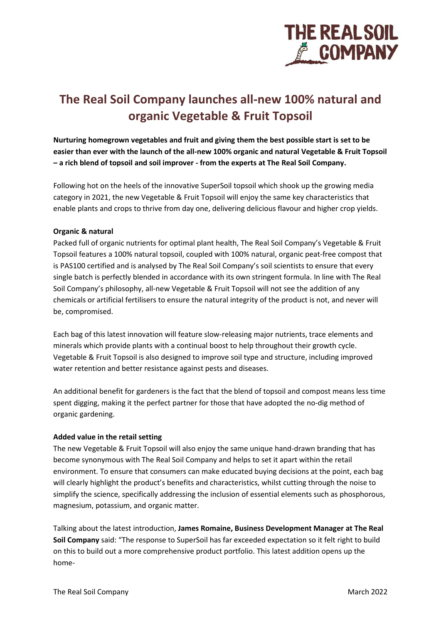

# **The Real Soil Company launches all-new 100% natural and organic Vegetable & Fruit Topsoil**

**Nurturing homegrown vegetables and fruit and giving them the best possible start is set to be easier than ever with the launch of the all-new 100% organic and natural Vegetable & Fruit Topsoil – a rich blend of topsoil and soil improver - from the experts at The Real Soil Company.**

Following hot on the heels of the innovative SuperSoil topsoil which shook up the growing media category in 2021, the new Vegetable & Fruit Topsoil will enjoy the same key characteristics that enable plants and crops to thrive from day one, delivering delicious flavour and higher crop yields.

## **Organic & natural**

Packed full of organic nutrients for optimal plant health, The Real Soil Company's Vegetable & Fruit Topsoil features a 100% natural topsoil, coupled with 100% natural, organic peat-free compost that is PAS100 certified and is analysed by The Real Soil Company's soil scientists to ensure that every single batch is perfectly blended in accordance with its own stringent formula. In line with The Real Soil Company's philosophy, all-new Vegetable & Fruit Topsoil will not see the addition of any chemicals or artificial fertilisers to ensure the natural integrity of the product is not, and never will be, compromised.

Each bag of this latest innovation will feature slow-releasing major nutrients, trace elements and minerals which provide plants with a continual boost to help throughout their growth cycle. Vegetable & Fruit Topsoil is also designed to improve soil type and structure, including improved water retention and better resistance against pests and diseases.

An additional benefit for gardeners is the fact that the blend of topsoil and compost means less time spent digging, making it the perfect partner for those that have adopted the no-dig method of organic gardening.

## **Added value in the retail setting**

The new Vegetable & Fruit Topsoil will also enjoy the same unique hand-drawn branding that has become synonymous with The Real Soil Company and helps to set it apart within the retail environment. To ensure that consumers can make educated buying decisions at the point, each bag will clearly highlight the product's benefits and characteristics, whilst cutting through the noise to simplify the science, specifically addressing the inclusion of essential elements such as phosphorous, magnesium, potassium, and organic matter.

Talking about the latest introduction, **James Romaine, Business Development Manager at The Real Soil Company** said: "The response to SuperSoil has far exceeded expectation so it felt right to build on this to build out a more comprehensive product portfolio. This latest addition opens up the home-